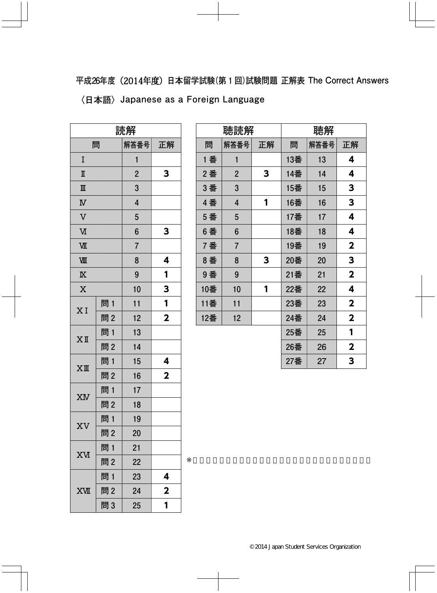**平成26年度**(2014年度)**日本留学試験(第1回)試験問題 正解表 The Correct Answers 〈日本語〉Japanese as a Foreign Language**

| 読解                      |     |                |                         |
|-------------------------|-----|----------------|-------------------------|
| 問                       |     | 解答番号           | 正解                      |
| I                       |     | 1              |                         |
| $\mathbb I$             |     | $\overline{2}$ | 3                       |
| $\mathbb{I}$            |     | 3              |                         |
| $\overline{\mathbf{N}}$ |     | 4              |                         |
| $\overline{V}$          |     | 5              |                         |
| M                       |     | 6              | 3                       |
| VШ                      |     | $\overline{7}$ |                         |
| WЩ                      |     | 8              | 4                       |
| $\overline{\mathbb{X}}$ |     | 9              | 1                       |
| $\overline{X}$          |     | 10             | 3                       |
| XI                      | 問 1 | 11             | 1                       |
|                         | 問2  | 12             | $\mathbf{2}$            |
| $X$ II                  | 問1  | 13             |                         |
|                         | 問2  | 14             |                         |
| $XI\!\!I\!\!I$          | 問1  | 15             | 4                       |
|                         | 問2  | 16             | $\overline{\mathbf{2}}$ |
|                         | 問1  | 17             |                         |
| XM                      | 問2  | 18             |                         |
|                         | 問1  | 19             |                         |
| XV                      | 問2  | 20             |                         |
| <b>XV</b>               | 問1  | 21             |                         |
|                         | 問2  | 22             |                         |
|                         | 問 1 | 23             | 4                       |
| <b>XVII</b>             | 問2  | 24             | $\mathbf 2$             |
|                         | 問3  | 25             | 1                       |

| 聴読解 |                |    | 聴解  |      |                         |
|-----|----------------|----|-----|------|-------------------------|
| 問   | 解答番号           | 正解 | 問   | 解答番号 | 正解                      |
| 1 番 | $\mathbf{1}$   |    | 13番 | 13   | 4                       |
| 2番  | $\overline{2}$ | 3  | 14番 | 14   | 4                       |
| 3 番 | 3              |    | 15番 | 15   | 3                       |
| 4番  | 4              | 1  | 16番 | 16   | 3                       |
| 5 番 | 5              |    | 17番 | 17   | 4                       |
| 6番  | 6              |    | 18番 | 18   | 4                       |
| 7番  | $\overline{7}$ |    | 19番 | 19   | $\mathbf 2$             |
| 8番  | 8              | 3  | 20番 | 20   | 3                       |
| 9番  | 9              |    | 21番 | 21   | $\overline{\mathbf{2}}$ |
| 10番 | 10             | 1  | 22番 | 22   | 4                       |
| 11番 | 11             |    | 23番 | 23   | $\mathbf 2$             |
| 12番 | 12             |    | 24番 | 24   | $\overline{\mathbf{2}}$ |
|     |                |    | 25番 | 25   | 1                       |
|     |                |    | 26番 | 26   | $\mathbf 2$             |
|     |                |    | 27番 | 27   | 3                       |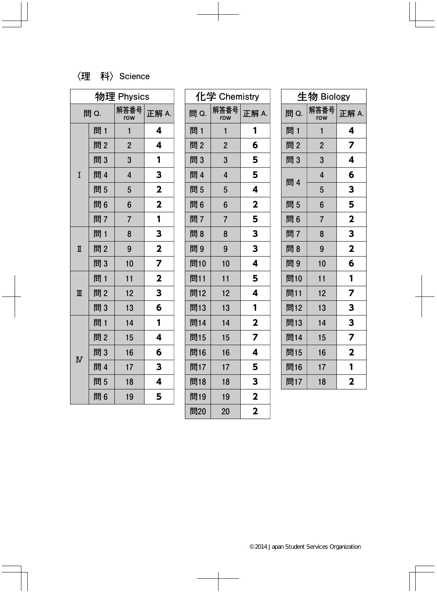## **〈理 科〉Science**

| 物理 Physics              |     |                         |                         |
|-------------------------|-----|-------------------------|-------------------------|
| 問 Q.                    |     | 解答番号<br>row             | 正解 A.                   |
|                         | 問1  | $\mathbf{1}$            | 4                       |
|                         | 問2  | $\overline{2}$          | 4                       |
|                         | 問3  | 3                       | 1                       |
| I                       | 問 4 | $\overline{\mathbf{4}}$ | 3                       |
|                         | 問5  | 5                       | $\overline{\mathbf{2}}$ |
|                         | 問6  | 6                       | $\mathbf{2}$            |
|                         | 問7  | $\overline{7}$          | 1                       |
|                         | 問1  | 8                       | 3                       |
| $\overline{\mathbb{I}}$ | 問2  | 9                       | $\overline{\mathbf{2}}$ |
|                         | 問3  | 10                      | 7                       |
| $\overline{\mathbb{I}}$ | 問 1 | 11                      | $\overline{\mathbf{2}}$ |
|                         | 問2  | 12                      | 3                       |
|                         | 問3  | 13                      | 6                       |
| $\overline{\text{N}}$   | 問1  | 14                      | 1                       |
|                         | 問2  | 15                      | 4                       |
|                         | 問3  | 16                      | 6                       |
|                         | 問 4 | 17                      | 3                       |
|                         | 問5  | 18                      | 4                       |
|                         | 問6  | 19                      | 5                       |

| 化学 Chemistry |                |                         |
|--------------|----------------|-------------------------|
| 問 Q.         | 解答番号<br>row    | 正解 A.                   |
| 問 1          | 1              | 1                       |
| 問2           | $\overline{2}$ | 6                       |
| 問3           | 3              | 5                       |
| 問 4          | $\overline{4}$ | 5                       |
| 問5           | 5              | 4                       |
| 問6           | 6              | $\overline{\mathbf{2}}$ |
| 問7           | $\overline{7}$ | 5                       |
| 問8           | 8              | 3                       |
| 問9           | 9              | 3                       |
| 問10          | 10             | 4                       |
| 問11          | 11             | 5                       |
| 問12          | 12             | 4                       |
| 問13          | 13             | 1                       |
| 問14          | 14             | $\overline{\mathbf{2}}$ |
| 問15          | 15             | 7                       |
| 問16          | 16             | 4                       |
| 問17          | 17             | 5                       |
| 問18          | 18             | 3                       |
| 問19          | 19             | $\overline{\mathbf{2}}$ |
| 問20          | 20             | $\overline{\mathbf{2}}$ |

| 生物 Biology |                |                         |
|------------|----------------|-------------------------|
| 問 Q.       | 解答番号<br>row    | 正解 A.                   |
| 問 1        | 1              | 4                       |
| 問2         | $\overline{2}$ | $\overline{\mathbf{z}}$ |
| 問3         | 3              | 4                       |
| 問 4        | $\overline{4}$ | 6                       |
|            | 5              | 3                       |
| 問5         | 6              | 5                       |
| 問6         | $\overline{7}$ | $\overline{\mathbf{2}}$ |
| 問7         | 8              | 3                       |
| 問8         | 9              | $\overline{\mathbf{2}}$ |
| 問9         | 10             | 6                       |
| 問10        | 11             | 1                       |
| 問11        | 12             | 7                       |
| 問12        | 13             | 3                       |
| 問13        | 14             | 3                       |
| 問14        | 15             | $\overline{z}$          |
| 問15        | 16             | $\overline{\mathbf{2}}$ |
| 問16        | 17             | 1                       |
| 問17        | 18             | $\overline{\mathbf{2}}$ |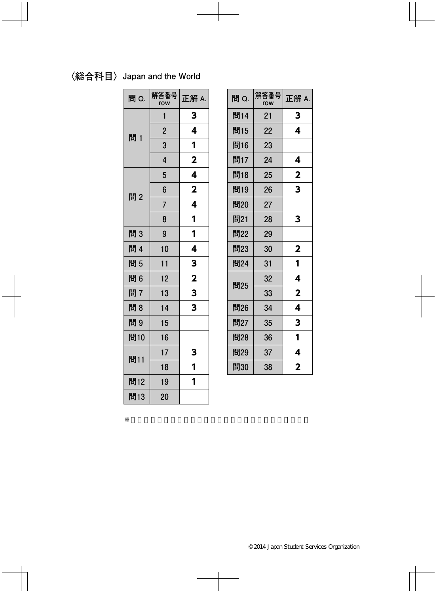## **〈総合科目〉Japan and the World**

| 問 Q. | 解答番号<br>row    | 正解 A.        |
|------|----------------|--------------|
|      | 1              | 3            |
| 問 1  | $\overline{2}$ | 4            |
|      | 3              | 1            |
|      | $\overline{4}$ | $\mathbf{2}$ |
|      | 5              | 4            |
| 問2   | $6\phantom{1}$ | $\mathbf 2$  |
|      | $\overline{7}$ | 4            |
|      | 8              | 1            |
| 問3   | 9              | 1            |
| 問 4  | 10             | 4            |
| 問5   | 11             | 3            |
| 問6   | 12             | $\mathbf{2}$ |
| 問7   | 13             | 3            |
| 問8   | 14             | 3            |
| 問9   | 15             |              |
| 問10  | 16             |              |
| 問11  | 17             | 3            |
|      | 18             | 1            |
| 問12  | 19             | 1            |
| 問13  | 20             |              |

| 問 Q. | 解答番号<br>row | 正解 A.                   |
|------|-------------|-------------------------|
| 問14  | 21          | 3                       |
| 問15  | 22          | 4                       |
| 問16  | 23          |                         |
| 問17  | 24          | 4                       |
| 問18  | 25          | $\mathbf 2$             |
| 問19  | 26          | 3                       |
| 問20  | 27          |                         |
| 問21  | 28          | 3                       |
| 問22  | 29          |                         |
| 問23  | 30          | $\mathbf 2$             |
| 問24  | 31          | 1                       |
| 問25  | 32          | 4                       |
|      | 33          | $\overline{\mathbf{2}}$ |
| 問26  | 34          | 4                       |
| 問27  | 35          | 3                       |
| 問28  | 36          | 1                       |
| 問29  | 37          | 4                       |
| 問30  | 38          | 2                       |